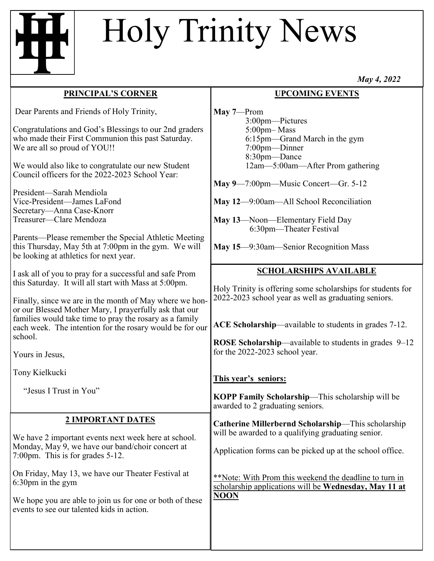# Holy Trinity News

## **PRINCIPAL'S CORNER**

Dear Parents and Friends of Holy Trinity,

Congratulations and God's Blessings to our 2nd graders who made their First Communion this past Saturday. We are all so proud of YOU!!

We would also like to congratulate our new Student Council officers for the 2022-2023 School Year:

President—Sarah Mendiola Vice-President—James LaFond Secretary—Anna Case-Knorr Treasurer—Clare Mendoza

Parents—Please remember the Special Athletic Meeting this Thursday, May 5th at 7:00pm in the gym. We will be looking at athletics for next year.

I ask all of you to pray for a successful and safe Prom this Saturday. It will all start with Mass at 5:00pm.

Finally, since we are in the month of May where we honor our Blessed Mother Mary, I prayerfully ask that our families would take time to pray the rosary as a family each week. The intention for the rosary would be for our school.

Yours in Jesus,

Tony Kielkucki

"Jesus I Trust in You"

### **2 IMPORTANT DATES**

We have 2 important events next week here at school. Monday, May 9, we have our band/choir concert at 7:00pm. This is for grades 5-12.

On Friday, May 13, we have our Theater Festival at 6:30pm in the gym

We hope you are able to join us for one or both of these events to see our talented kids in action.

*May 4, 2022*

#### **UPCOMING EVENTS**

**May 7**—Prom 3:00pm—Pictures 5:00pm– Mass 6:15pm—Grand March in the gym 7:00pm—Dinner  $8:30$ <sub>pm</sub>—Dance 12am—5:00am—After Prom gathering

**May 9**—7:00pm—Music Concert—Gr. 5-12

**May 12**—9:00am—All School Reconciliation

**May 13**—Noon—Elementary Field Day 6:30pm—Theater Festival

**May 15**—9:30am—Senior Recognition Mass

## **SCHOLARSHIPS AVAILABLE**

Holy Trinity is offering some scholarships for students for 2022-2023 school year as well as graduating seniors.

**ACE Scholarship**—available to students in grades 7-12.

**ROSE Scholarship**—available to students in grades 9–12 for the 2022-2023 school year.

#### **This year's seniors:**

**KOPP Family Scholarship**—This scholarship will be awarded to 2 graduating seniors.

**Catherine Millerbernd Scholarship**—This scholarship will be awarded to a qualifying graduating senior.

Application forms can be picked up at the school office.

\*\*Note: With Prom this weekend the deadline to turn in scholarship applications will be **Wednesday, May 11 at NOON**